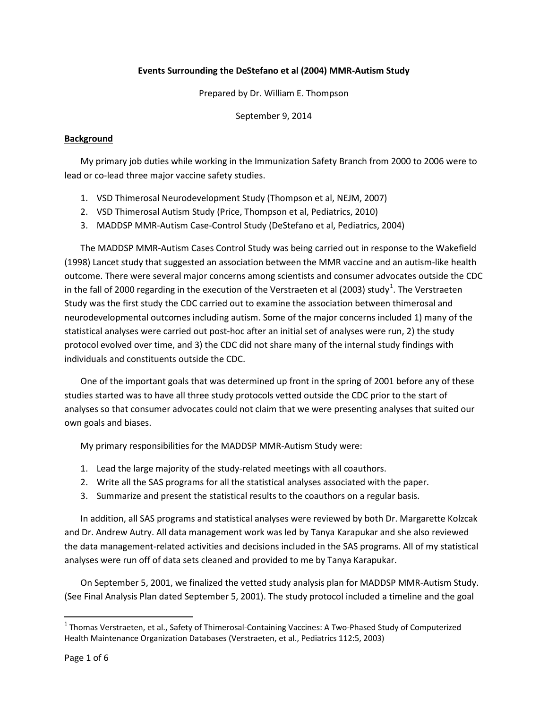## **Events Surrounding the DeStefano et al (2004) MMR-Autism Study**

Prepared by Dr. William E. Thompson

September 9, 2014

## **Background**

My primary job duties while working in the Immunization Safety Branch from 2000 to 2006 were to lead or co-lead three major vaccine safety studies.

- 1. VSD Thimerosal Neurodevelopment Study (Thompson et al, NEJM, 2007)
- 2. VSD Thimerosal Autism Study (Price, Thompson et al, Pediatrics, 2010)
- 3. MADDSP MMR-Autism Case-Control Study (DeStefano et al, Pediatrics, 2004)

The MADDSP MMR-Autism Cases Control Study was being carried out in response to the Wakefield (1998) Lancet study that suggested an association between the MMR vaccine and an autism-like health outcome. There were several major concerns among scientists and consumer advocates outside the CDC in the fall of 2000 regarding in the execution of the Verstraeten et al (2003) study<sup>1</sup>. The Verstraeten Study was the first study the CDC carried out to examine the association between thimerosal and neurodevelopmental outcomes including autism. Some of the major concerns included 1) many of the statistical analyses were carried out post-hoc after an initial set of analyses were run, 2) the study protocol evolved over time, and 3) the CDC did not share many of the internal study findings with individuals and constituents outside the CDC.

One of the important goals that was determined up front in the spring of 2001 before any of these studies started was to have all three study protocols vetted outside the CDC prior to the start of analyses so that consumer advocates could not claim that we were presenting analyses that suited our own goals and biases.

My primary responsibilities for the MADDSP MMR-Autism Study were:

- 1. Lead the large majority of the study-related meetings with all coauthors.
- 2. Write all the SAS programs for all the statistical analyses associated with the paper.
- 3. Summarize and present the statistical results to the coauthors on a regular basis.

In addition, all SAS programs and statistical analyses were reviewed by both Dr. Margarette Kolzcak and Dr. Andrew Autry. All data management work was led by Tanya Karapukar and she also reviewed the data management-related activities and decisions included in the SAS programs. All of my statistical analyses were run off of data sets cleaned and provided to me by Tanya Karapukar.

On September 5, 2001, we finalized the vetted study analysis plan for MADDSP MMR-Autism Study. (See Final Analysis Plan dated September 5, 2001). The study protocol included a timeline and the goal

<sup>&</sup>lt;sup>1</sup> Thomas Verstraeten, et al., Safety of Thimerosal-Containing Vaccines: A Two-Phased Study of Computerized Health Maintenance Organization Databases (Verstraeten, et al., Pediatrics 112:5, 2003)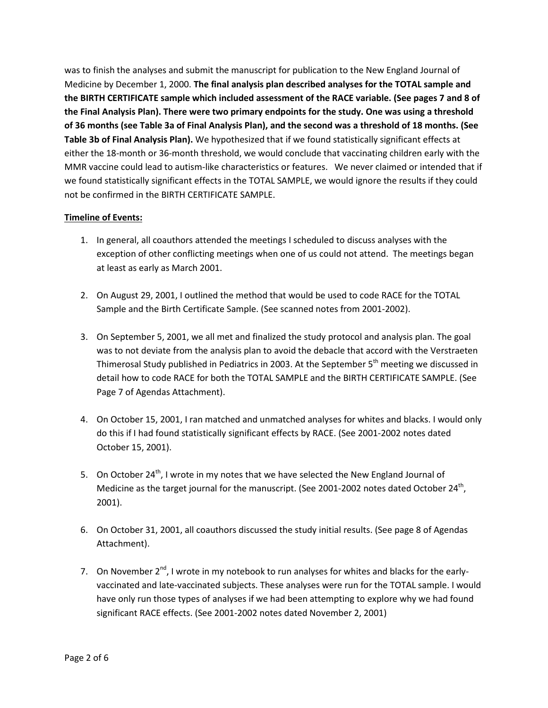was to finish the analyses and submit the manuscript for publication to the New England Journal of Medicine by December 1, 2000. **The final analysis plan described analyses for the TOTAL sample and the BIRTH CERTIFICATE sample which included assessment of the RACE variable. (See pages 7 and 8 of the Final Analysis Plan). There were two primary endpoints for the study. One was using a threshold of 36 months (see Table 3a of Final Analysis Plan), and the second was a threshold of 18 months. (See Table 3b of Final Analysis Plan).** We hypothesized that if we found statistically significant effects at either the 18-month or 36-month threshold, we would conclude that vaccinating children early with the MMR vaccine could lead to autism-like characteristics or features. We never claimed or intended that if we found statistically significant effects in the TOTAL SAMPLE, we would ignore the results if they could not be confirmed in the BIRTH CERTIFICATE SAMPLE.

## **Timeline of Events:**

- 1. In general, all coauthors attended the meetings I scheduled to discuss analyses with the exception of other conflicting meetings when one of us could not attend. The meetings began at least as early as March 2001.
- 2. On August 29, 2001, I outlined the method that would be used to code RACE for the TOTAL Sample and the Birth Certificate Sample. (See scanned notes from 2001-2002).
- 3. On September 5, 2001, we all met and finalized the study protocol and analysis plan. The goal was to not deviate from the analysis plan to avoid the debacle that accord with the Verstraeten Thimerosal Study published in Pediatrics in 2003. At the September 5<sup>th</sup> meeting we discussed in detail how to code RACE for both the TOTAL SAMPLE and the BIRTH CERTIFICATE SAMPLE. (See Page 7 of Agendas Attachment).
- 4. On October 15, 2001, I ran matched and unmatched analyses for whites and blacks. I would only do this if I had found statistically significant effects by RACE. (See 2001-2002 notes dated October 15, 2001).
- 5. On October 24<sup>th</sup>, I wrote in my notes that we have selected the New England Journal of Medicine as the target journal for the manuscript. (See 2001-2002 notes dated October 24<sup>th</sup>, 2001).
- 6. On October 31, 2001, all coauthors discussed the study initial results. (See page 8 of Agendas Attachment).
- 7. On November  $2^{nd}$ , I wrote in my notebook to run analyses for whites and blacks for the earlyvaccinated and late-vaccinated subjects. These analyses were run for the TOTAL sample. I would have only run those types of analyses if we had been attempting to explore why we had found significant RACE effects. (See 2001-2002 notes dated November 2, 2001)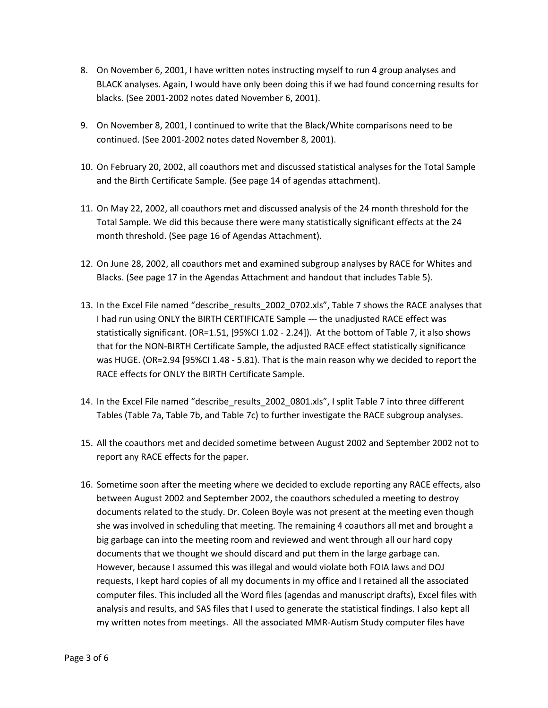- 8. On November 6, 2001, I have written notes instructing myself to run 4 group analyses and BLACK analyses. Again, I would have only been doing this if we had found concerning results for blacks. (See 2001-2002 notes dated November 6, 2001).
- 9. On November 8, 2001, I continued to write that the Black/White comparisons need to be continued. (See 2001-2002 notes dated November 8, 2001).
- 10. On February 20, 2002, all coauthors met and discussed statistical analyses for the Total Sample and the Birth Certificate Sample. (See page 14 of agendas attachment).
- 11. On May 22, 2002, all coauthors met and discussed analysis of the 24 month threshold for the Total Sample. We did this because there were many statistically significant effects at the 24 month threshold. (See page 16 of Agendas Attachment).
- 12. On June 28, 2002, all coauthors met and examined subgroup analyses by RACE for Whites and Blacks. (See page 17 in the Agendas Attachment and handout that includes Table 5).
- 13. In the Excel File named "describe\_results\_2002\_0702.xls", Table 7 shows the RACE analyses that I had run using ONLY the BIRTH CERTIFICATE Sample --- the unadjusted RACE effect was statistically significant. (OR=1.51, [95%CI 1.02 - 2.24]). At the bottom of Table 7, it also shows that for the NON-BIRTH Certificate Sample, the adjusted RACE effect statistically significance was HUGE. (OR=2.94 [95%CI 1.48 - 5.81). That is the main reason why we decided to report the RACE effects for ONLY the BIRTH Certificate Sample.
- 14. In the Excel File named "describe\_results\_2002\_0801.xls", I split Table 7 into three different Tables (Table 7a, Table 7b, and Table 7c) to further investigate the RACE subgroup analyses.
- 15. All the coauthors met and decided sometime between August 2002 and September 2002 not to report any RACE effects for the paper.
- 16. Sometime soon after the meeting where we decided to exclude reporting any RACE effects, also between August 2002 and September 2002, the coauthors scheduled a meeting to destroy documents related to the study. Dr. Coleen Boyle was not present at the meeting even though she was involved in scheduling that meeting. The remaining 4 coauthors all met and brought a big garbage can into the meeting room and reviewed and went through all our hard copy documents that we thought we should discard and put them in the large garbage can. However, because I assumed this was illegal and would violate both FOIA laws and DOJ requests, I kept hard copies of all my documents in my office and I retained all the associated computer files. This included all the Word files (agendas and manuscript drafts), Excel files with analysis and results, and SAS files that I used to generate the statistical findings. I also kept all my written notes from meetings. All the associated MMR-Autism Study computer files have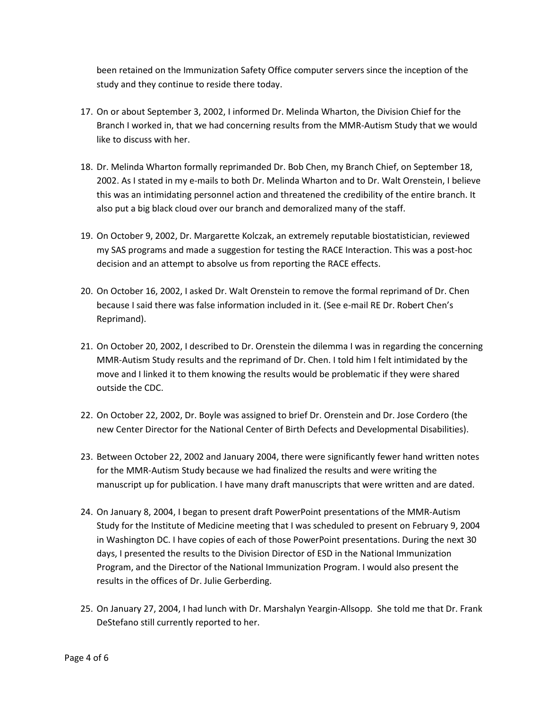been retained on the Immunization Safety Office computer servers since the inception of the study and they continue to reside there today.

- 17. On or about September 3, 2002, I informed Dr. Melinda Wharton, the Division Chief for the Branch I worked in, that we had concerning results from the MMR-Autism Study that we would like to discuss with her.
- 18. Dr. Melinda Wharton formally reprimanded Dr. Bob Chen, my Branch Chief, on September 18, 2002. As I stated in my e-mails to both Dr. Melinda Wharton and to Dr. Walt Orenstein, I believe this was an intimidating personnel action and threatened the credibility of the entire branch. It also put a big black cloud over our branch and demoralized many of the staff.
- 19. On October 9, 2002, Dr. Margarette Kolczak, an extremely reputable biostatistician, reviewed my SAS programs and made a suggestion for testing the RACE Interaction. This was a post-hoc decision and an attempt to absolve us from reporting the RACE effects.
- 20. On October 16, 2002, I asked Dr. Walt Orenstein to remove the formal reprimand of Dr. Chen because I said there was false information included in it. (See e-mail RE Dr. Robert Chen's Reprimand).
- 21. On October 20, 2002, I described to Dr. Orenstein the dilemma I was in regarding the concerning MMR-Autism Study results and the reprimand of Dr. Chen. I told him I felt intimidated by the move and I linked it to them knowing the results would be problematic if they were shared outside the CDC.
- 22. On October 22, 2002, Dr. Boyle was assigned to brief Dr. Orenstein and Dr. Jose Cordero (the new Center Director for the National Center of Birth Defects and Developmental Disabilities).
- 23. Between October 22, 2002 and January 2004, there were significantly fewer hand written notes for the MMR-Autism Study because we had finalized the results and were writing the manuscript up for publication. I have many draft manuscripts that were written and are dated.
- 24. On January 8, 2004, I began to present draft PowerPoint presentations of the MMR-Autism Study for the Institute of Medicine meeting that I was scheduled to present on February 9, 2004 in Washington DC. I have copies of each of those PowerPoint presentations. During the next 30 days, I presented the results to the Division Director of ESD in the National Immunization Program, and the Director of the National Immunization Program. I would also present the results in the offices of Dr. Julie Gerberding.
- 25. On January 27, 2004, I had lunch with Dr. Marshalyn Yeargin-Allsopp. She told me that Dr. Frank DeStefano still currently reported to her.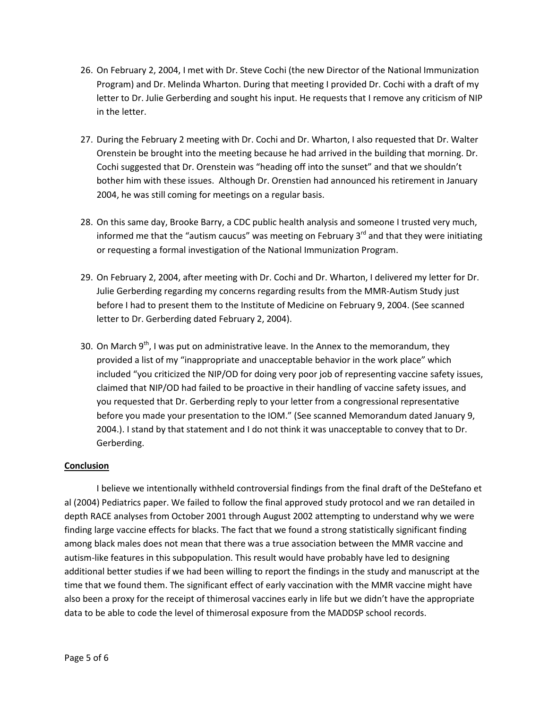- 26. On February 2, 2004, I met with Dr. Steve Cochi (the new Director of the National Immunization Program) and Dr. Melinda Wharton. During that meeting I provided Dr. Cochi with a draft of my letter to Dr. Julie Gerberding and sought his input. He requests that I remove any criticism of NIP in the letter.
- 27. During the February 2 meeting with Dr. Cochi and Dr. Wharton, I also requested that Dr. Walter Orenstein be brought into the meeting because he had arrived in the building that morning. Dr. Cochi suggested that Dr. Orenstein was "heading off into the sunset" and that we shouldn't bother him with these issues. Although Dr. Orenstien had announced his retirement in January 2004, he was still coming for meetings on a regular basis.
- 28. On this same day, Brooke Barry, a CDC public health analysis and someone I trusted very much, informed me that the "autism caucus" was meeting on February  $3<sup>rd</sup>$  and that they were initiating or requesting a formal investigation of the National Immunization Program.
- 29. On February 2, 2004, after meeting with Dr. Cochi and Dr. Wharton, I delivered my letter for Dr. Julie Gerberding regarding my concerns regarding results from the MMR-Autism Study just before I had to present them to the Institute of Medicine on February 9, 2004. (See scanned letter to Dr. Gerberding dated February 2, 2004).
- 30. On March  $9<sup>th</sup>$ , I was put on administrative leave. In the Annex to the memorandum, they provided a list of my "inappropriate and unacceptable behavior in the work place" which included "you criticized the NIP/OD for doing very poor job of representing vaccine safety issues, claimed that NIP/OD had failed to be proactive in their handling of vaccine safety issues, and you requested that Dr. Gerberding reply to your letter from a congressional representative before you made your presentation to the IOM." (See scanned Memorandum dated January 9, 2004.). I stand by that statement and I do not think it was unacceptable to convey that to Dr. Gerberding.

## **Conclusion**

I believe we intentionally withheld controversial findings from the final draft of the DeStefano et al (2004) Pediatrics paper. We failed to follow the final approved study protocol and we ran detailed in depth RACE analyses from October 2001 through August 2002 attempting to understand why we were finding large vaccine effects for blacks. The fact that we found a strong statistically significant finding among black males does not mean that there was a true association between the MMR vaccine and autism-like features in this subpopulation. This result would have probably have led to designing additional better studies if we had been willing to report the findings in the study and manuscript at the time that we found them. The significant effect of early vaccination with the MMR vaccine might have also been a proxy for the receipt of thimerosal vaccines early in life but we didn't have the appropriate data to be able to code the level of thimerosal exposure from the MADDSP school records.